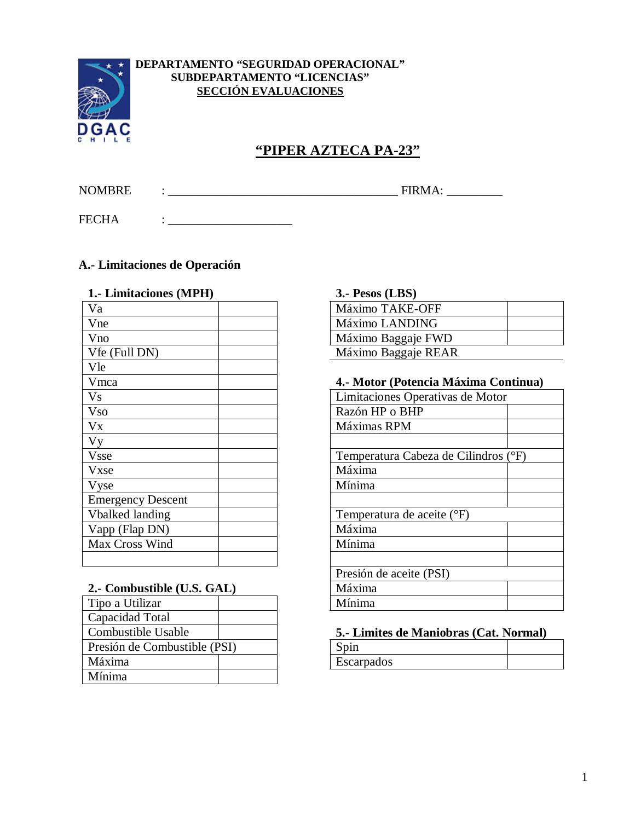

### **DEPARTAMENTO "SEGURIDAD OPERACIONAL" SUBDEPARTAMENTO "LICENCIAS" SECCIÓN EVALUACIONES**

# **"PIPER AZTECA PA-23"**

NOMBRE : \_\_\_\_\_\_\_\_\_\_\_\_\_\_\_\_\_\_\_\_\_\_\_\_\_\_\_\_\_\_\_\_\_\_\_\_\_ FIRMA: \_\_\_\_\_\_\_\_\_

FECHA : \_\_\_\_\_\_\_\_\_\_\_\_\_\_\_\_\_\_\_\_

# **A.- Limitaciones de Operación**

| 1.- Limitaciones (MPH)   | 3.- Pesos (LBS)                  |
|--------------------------|----------------------------------|
| Va                       | Máximo TAKE-OFF                  |
| Vne                      | Máximo LANDING                   |
| Vno                      | Máximo Baggaje FWD               |
| Vfe (Full DN)            | Máximo Baggaje REAR              |
| Vle                      |                                  |
| Vmca                     | 4.- Motor (Potencia Máxima Cor   |
| Vs                       | Limitaciones Operativas de Motor |
| <b>Vso</b>               | Razón HP o BHP                   |
| Vx                       | Máximas RPM                      |
| Vy                       |                                  |
| <b>Vsse</b>              | Temperatura Cabeza de Cilindros  |
| Vxse                     | Máxima                           |
| Vyse                     | Mínima                           |
| <b>Emergency Descent</b> |                                  |
| Vbalked landing          | Temperatura de aceite (°F)       |
| Vapp (Flap DN)           | Máxima                           |
| Max Cross Wind           | Mínima                           |
|                          |                                  |

### **2.- Combustible (U.S. GAL)**

| Tipo a Utilizar              |  | Mínima      |
|------------------------------|--|-------------|
| Capacidad Total              |  |             |
| Combustible Usable           |  | 5.- Limites |
| Presión de Combustible (PSI) |  | Spin        |
| Máxima                       |  | Escarpados  |
| Mínima                       |  |             |

#### **1.- Limitaciones (MPH) 3.- Pesos (LBS)**

| $\bullet \bullet \bullet \bullet \bullet \bullet \bullet \bullet \bullet$ |  |
|---------------------------------------------------------------------------|--|
| Máximo TAKE-OFF                                                           |  |
| Máximo LANDING                                                            |  |
| Máximo Baggaje FWD                                                        |  |
| Máximo Baggaje REAR                                                       |  |

#### Vmca **4.- Motor (Potencia Máxima Continua)**

| Limitaciones Operativas de Motor     |
|--------------------------------------|
| Razón HP o BHP                       |
| Máximas RPM                          |
|                                      |
| Temperatura Cabeza de Cilindros (°F) |
| Máxima                               |
| Mínima                               |
|                                      |
| Temperatura de aceite (°F)           |
| Máxima                               |
| Mínima                               |
|                                      |
| Presión de aceite (PSI)              |
| Máxima                               |
| Mínima                               |
|                                      |

#### 5.- Limites de Maniobras (Cat. Normal)

| Spin       |  |
|------------|--|
| Escarpados |  |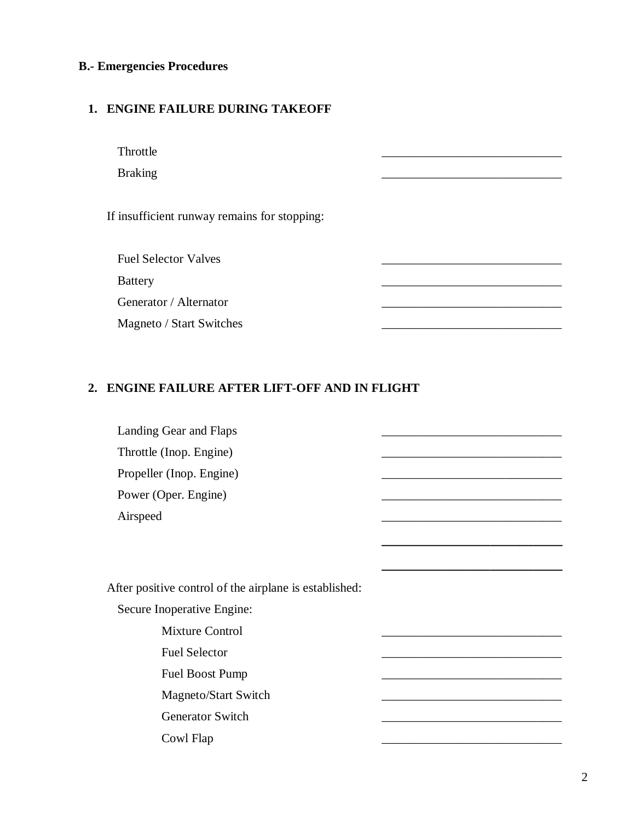# **B.- Emergencies Procedures**

# **1. ENGINE FAILURE DURING TAKEOFF**

| Throttle                                     |  |
|----------------------------------------------|--|
| <b>Braking</b>                               |  |
|                                              |  |
| If insufficient runway remains for stopping: |  |
|                                              |  |
| <b>Fuel Selector Valves</b>                  |  |
| <b>Battery</b>                               |  |
| Generator / Alternator                       |  |
| Magneto / Start Switches                     |  |
|                                              |  |

# **2. ENGINE FAILURE AFTER LIFT-OFF AND IN FLIGHT**

| Landing Gear and Flaps                                 |  |
|--------------------------------------------------------|--|
| Throttle (Inop. Engine)                                |  |
| Propeller (Inop. Engine)                               |  |
| Power (Oper. Engine)                                   |  |
| Airspeed                                               |  |
|                                                        |  |
|                                                        |  |
| After positive control of the airplane is established: |  |
| Secure Inoperative Engine:                             |  |
| <b>Mixture Control</b>                                 |  |
| <b>Fuel Selector</b>                                   |  |
| Fuel Boost Pump                                        |  |
| Magneto/Start Switch                                   |  |
| <b>Generator Switch</b>                                |  |
| Cowl Flap                                              |  |
|                                                        |  |